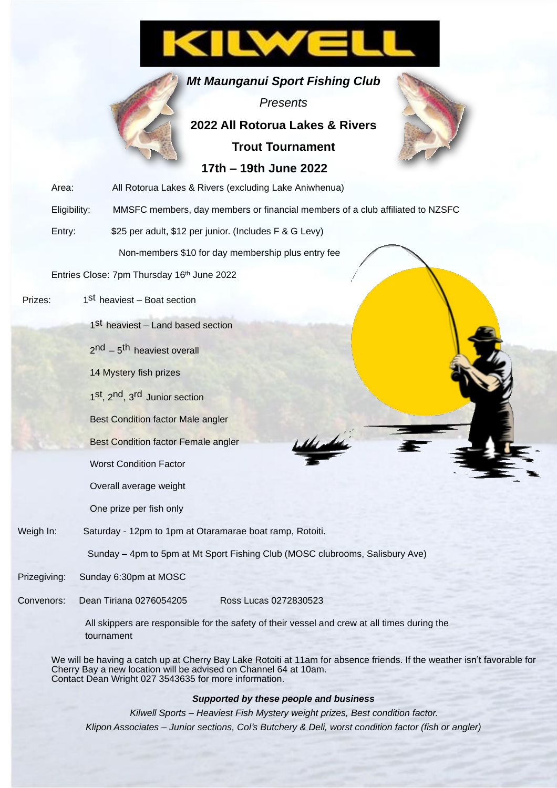# ILW

*Mt Maunganui Sport Fishing Club*

### *Presents* **2022 All Rotorua Lakes & Rivers Trout Tournament 17th – 19th June 2022**



|           | Area:        | All Rotorua Lakes & Rivers (excluding Lake Aniwhenua)                         |
|-----------|--------------|-------------------------------------------------------------------------------|
|           | Eligibility: | MMSFC members, day members or financial members of a club affiliated to NZSFC |
|           | Entry:       | \$25 per adult, \$12 per junior. (Includes F & G Levy)                        |
|           |              | Non-members \$10 for day membership plus entry fee                            |
|           |              | Entries Close: 7pm Thursday 16th June 2022                                    |
| Prizes:   |              | 1 <sup>st</sup> heaviest - Boat section                                       |
|           |              | 1 <sup>St</sup> heaviest - Land based section                                 |
|           |              | $2nd - 5th$ heaviest overall                                                  |
|           |              | 14 Mystery fish prizes                                                        |
|           |              | 1st, 2nd, 3rd Junior section                                                  |
|           |              | <b>Best Condition factor Male angler</b>                                      |
|           |              | <b>Best Condition factor Female angler</b>                                    |
|           |              | <b>Worst Condition Factor</b>                                                 |
|           |              | Overall average weight                                                        |
|           |              | One prize per fish only                                                       |
| Weigh In: |              | Saturday - 12pm to 1pm at Otaramarae boat ramp, Rotoiti.                      |
|           |              | Sunday - 4pm to 5pm at Mt Sport Fishing Club (MOSC clubrooms, Salisbury Ave)  |

Prizegiving: Sunday 6:30pm at MOSC

Convenors: Dean Tiriana 0276054205 Ross Lucas 0272830523

All skippers are responsible for the safety of their vessel and crew at all times during the tournament

We will be having a catch up at Cherry Bay Lake Rotoiti at 11am for absence friends. If the weather isn't favorable for Cherry Bay a new location will be advised on Channel 64 at 10am. Contact Dean Wright 027 3543635 for more information.

#### *Supported by these people and business*

*Kilwell Sports – Heaviest Fish Mystery weight prizes, Best condition factor. Klipon Associates – Junior sections, Col's Butchery & Deli, worst condition factor (fish or angler)*